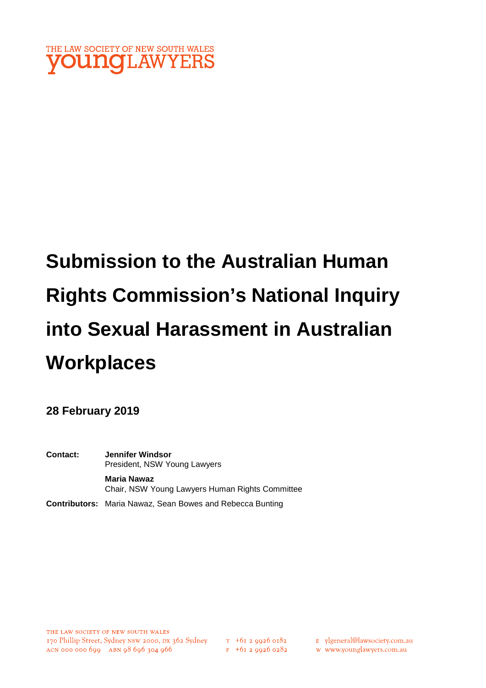

# **Submission to the Australian Human Rights Commission's National Inquiry into Sexual Harassment in Australian Workplaces**

**28 February 2019** 

**Contact: Jennifer Windsor**  President, NSW Young Lawyers **Maria Nawaz** Chair, NSW Young Lawyers Human Rights Committee

**Contributors:** Maria Nawaz, Sean Bowes and Rebecca Bunting

 $T_{1}$  +61 2 9926 0182  $F + 6I$  2 9926 0282 E ylgeneral@lawsociety.com.au

w www.younglawyers.com.au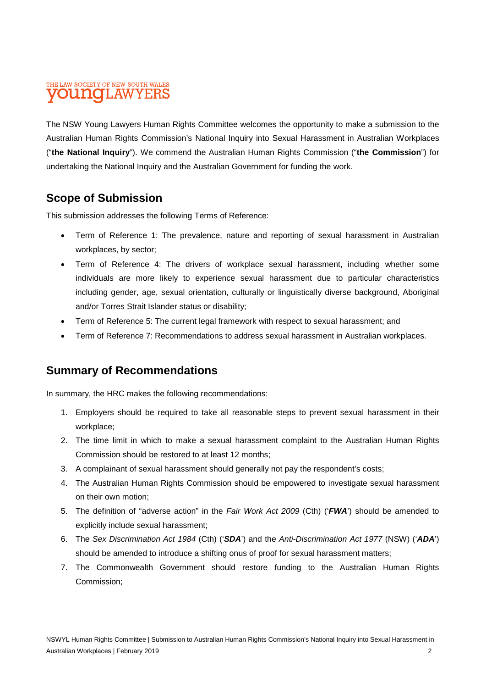# THE LAW SOCIETY OF NEW SOUTH WALES **OUNCILAWYEI**

The NSW Young Lawyers Human Rights Committee welcomes the opportunity to make a submission to the Australian Human Rights Commission's National Inquiry into Sexual Harassment in Australian Workplaces ("**the National Inquiry**"). We commend the Australian Human Rights Commission ("**the Commission**") for undertaking the National Inquiry and the Australian Government for funding the work.

# **Scope of Submission**

This submission addresses the following Terms of Reference:

- Term of Reference 1: The prevalence, nature and reporting of sexual harassment in Australian workplaces, by sector;
- Term of Reference 4: The drivers of workplace sexual harassment, including whether some individuals are more likely to experience sexual harassment due to particular characteristics including gender, age, sexual orientation, culturally or linguistically diverse background, Aboriginal and/or Torres Strait Islander status or disability;
- Term of Reference 5: The current legal framework with respect to sexual harassment; and
- Term of Reference 7: Recommendations to address sexual harassment in Australian workplaces.

# **Summary of Recommendations**

In summary, the HRC makes the following recommendations:

- 1. Employers should be required to take all reasonable steps to prevent sexual harassment in their workplace;
- 2. The time limit in which to make a sexual harassment complaint to the Australian Human Rights Commission should be restored to at least 12 months;
- 3. A complainant of sexual harassment should generally not pay the respondent's costs;
- 4. The Australian Human Rights Commission should be empowered to investigate sexual harassment on their own motion;
- 5. The definition of "adverse action" in the *Fair Work Act 2009* (Cth) ('*FWA'*) should be amended to explicitly include sexual harassment;
- 6. The *Sex Discrimination Act 1984* (Cth) ('*SDA*') and the *Anti-Discrimination Act 1977* (NSW) ('*ADA*') should be amended to introduce a shifting onus of proof for sexual harassment matters;
- 7. The Commonwealth Government should restore funding to the Australian Human Rights Commission;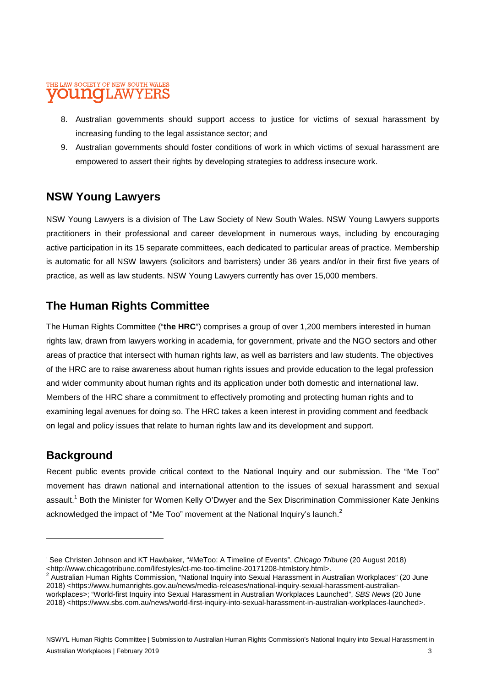### THE LAW SOCIETY OF NEW SOUTH WALES AW

- 8. Australian governments should support access to justice for victims of sexual harassment by increasing funding to the legal assistance sector; and
- 9. Australian governments should foster conditions of work in which victims of sexual harassment are empowered to assert their rights by developing strategies to address insecure work.

# **NSW Young Lawyers**

NSW Young Lawyers is a division of The Law Society of New South Wales. NSW Young Lawyers supports practitioners in their professional and career development in numerous ways, including by encouraging active participation in its 15 separate committees, each dedicated to particular areas of practice. Membership is automatic for all NSW lawyers (solicitors and barristers) under 36 years and/or in their first five years of practice, as well as law students. NSW Young Lawyers currently has over 15,000 members.

# **The Human Rights Committee**

The Human Rights Committee ("**the HRC**") comprises a group of over 1,200 members interested in human rights law, drawn from lawyers working in academia, for government, private and the NGO sectors and other areas of practice that intersect with human rights law, as well as barristers and law students. The objectives of the HRC are to raise awareness about human rights issues and provide education to the legal profession and wider community about human rights and its application under both domestic and international law. Members of the HRC share a commitment to effectively promoting and protecting human rights and to examining legal avenues for doing so. The HRC takes a keen interest in providing comment and feedback on legal and policy issues that relate to human rights law and its development and support.

# **Background**

Recent public events provide critical context to the National Inquiry and our submission. The "Me Too" movement has drawn national and international attention to the issues of sexual harassment and sexual assault.<sup>1</sup> Both the Minister for Women Kelly O'Dwyer and the Sex Discrimination Commissioner Kate Jenkins acknowledged the impact of "Me Too" movement at the National Inquiry's launch. $<sup>2</sup>$ </sup>

<sup>1</sup> See Christen Johnson and KT Hawbaker, "#MeToo: A Timeline of Events", *Chicago Tribune* (20 August 2018) <http://www.chicagotribune.com/lifestyles/ct-me-too-timeline-20171208-htmlstory.html>. 2

Australian Human Rights Commission, "National Inquiry into Sexual Harassment in Australian Workplaces" (20 June 2018) <https://www.humanrights.gov.au/news/media-releases/national-inquiry-sexual-harassment-australianworkplaces>; "World-first Inquiry into Sexual Harassment in Australian Workplaces Launched", *SBS News* (20 June 2018) <https://www.sbs.com.au/news/world-first-inquiry-into-sexual-harassment-in-australian-workplaces-launched>.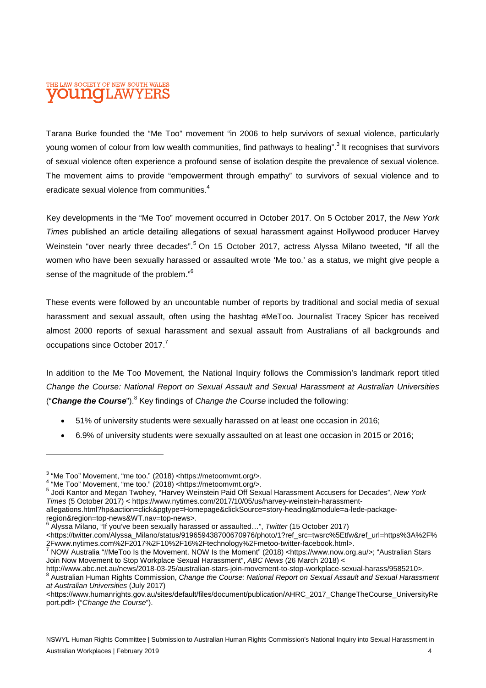# THE LAW SOCIETY OF NEW SOUTH WALES **UNOLAW**

Tarana Burke founded the "Me Too" movement "in 2006 to help survivors of sexual violence, particularly young women of colour from low wealth communities, find pathways to healing".<sup>3</sup> It recognises that survivors of sexual violence often experience a profound sense of isolation despite the prevalence of sexual violence. The movement aims to provide "empowerment through empathy" to survivors of sexual violence and to eradicate sexual violence from communities.<sup>4</sup>

Key developments in the "Me Too" movement occurred in October 2017. On 5 October 2017, the *New York Times* published an article detailing allegations of sexual harassment against Hollywood producer Harvey Weinstein "over nearly three decades".<sup>5</sup> On 15 October 2017, actress Alyssa Milano tweeted, "If all the women who have been sexually harassed or assaulted wrote 'Me too.' as a status, we might give people a sense of the magnitude of the problem."<sup>6</sup>

These events were followed by an uncountable number of reports by traditional and social media of sexual harassment and sexual assault, often using the hashtag #MeToo. Journalist Tracey Spicer has received almost 2000 reports of sexual harassment and sexual assault from Australians of all backgrounds and occupations since October 2017.<sup>7</sup>

In addition to the Me Too Movement, the National Inquiry follows the Commission's landmark report titled *Change the Course: National Report on Sexual Assault and Sexual Harassment at Australian Universities*  ("Change the Course").<sup>8</sup> Key findings of *Change the Course* included the following:

- 51% of university students were sexually harassed on at least one occasion in 2016;
- 6.9% of university students were sexually assaulted on at least one occasion in 2015 or 2016;

 $3$  "Me Too" Movement, "me too." (2018) <https://metoomvmt.org/>.

 $4$  "Me Too" Movement, "me too."  $(2018)$  <https://metoomvmt.org/>.

<sup>5</sup> Jodi Kantor and Megan Twohey, "Harvey Weinstein Paid Off Sexual Harassment Accusers for Decades", *New York Times* (5 October 2017) < https://www.nytimes.com/2017/10/05/us/harvey-weinstein-harassmentallegations.html?hp&action=click&pgtype=Homepage&clickSource=story-heading&module=a-lede-package-

region&region=top-news&WT.nav=top-news>.

<sup>6</sup> Alyssa Milano, "If you've been sexually harassed or assaulted…", *Twitter* (15 October 2017)

<sup>&</sup>lt;https://twitter.com/Alyssa\_Milano/status/919659438700670976/photo/1?ref\_src=twsrc%5Etfw&ref\_url=https%3A%2F% 2Fwww.nytimes.com%2F2017%2F10%2F16%2Ftechnology%2Fmetoo-twitter-facebook.html>.

<sup>&</sup>lt;sup>7</sup> NOW Australia "#MeToo Is the Movement. NOW Is the Moment" (2018) <https://www.now.org.au/>; "Australian Stars Join Now Movement to Stop Workplace Sexual Harassment", *ABC News* (26 March 2018) <

http://www.abc.net.au/news/2018-03-25/australian-stars-join-movement-to-stop-workplace-sexual-harass/9585210>.

<sup>8</sup> Australian Human Rights Commission, *Change the Course: National Report on Sexual Assault and Sexual Harassment at Australian Universities* (July 2017)

<sup>&</sup>lt;https://www.humanrights.gov.au/sites/default/files/document/publication/AHRC\_2017\_ChangeTheCourse\_UniversityRe port.pdf> ("*Change the Course*").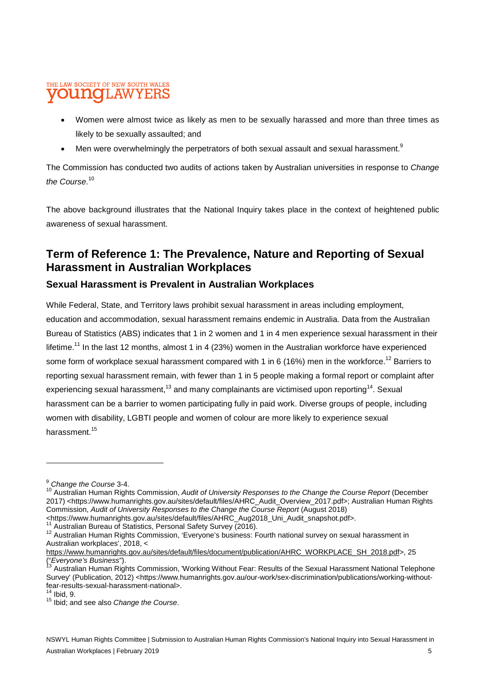### THE LAW SOCIETY OF NEW SOUTH WALES **nol.AW**

- Women were almost twice as likely as men to be sexually harassed and more than three times as likely to be sexually assaulted; and
- Men were overwhelmingly the perpetrators of both sexual assault and sexual harassment.<sup>9</sup>

The Commission has conducted two audits of actions taken by Australian universities in response to *Change the Course*. 10

The above background illustrates that the National Inquiry takes place in the context of heightened public awareness of sexual harassment.

# **Term of Reference 1: The Prevalence, Nature and Reporting of Sexual Harassment in Australian Workplaces**

### **Sexual Harassment is Prevalent in Australian Workplaces**

While Federal, State, and Territory laws prohibit sexual harassment in areas including employment, education and accommodation, sexual harassment remains endemic in Australia. Data from the Australian Bureau of Statistics (ABS) indicates that 1 in 2 women and 1 in 4 men experience sexual harassment in their lifetime.<sup>11</sup> In the last 12 months, almost 1 in 4 (23%) women in the Australian workforce have experienced some form of workplace sexual harassment compared with 1 in 6 (16%) men in the workforce.<sup>12</sup> Barriers to reporting sexual harassment remain, with fewer than 1 in 5 people making a formal report or complaint after experiencing sexual harassment.<sup>13</sup> and many complainants are victimised upon reporting<sup>14</sup>. Sexual harassment can be a barrier to women participating fully in paid work. Diverse groups of people, including women with disability, LGBTI people and women of colour are more likely to experience sexual harassment.<sup>15</sup>

Australian Bureau of Statistics, Personal Safety Survey (2016).

<sup>&</sup>lt;sup>9</sup> *Change the Course* 3-4.

<sup>10</sup> Australian Human Rights Commission, *Audit of University Responses to the Change the Course Report* (December 2017) <https://www.humanrights.gov.au/sites/default/files/AHRC\_Audit\_Overview\_2017.pdf>; Australian Human Rights Commission, *Audit of University Responses to the Change the Course Report* (August 2018)

<sup>&</sup>lt;https://www.humanrights.gov.au/sites/default/files/AHRC\_Aug2018\_Uni\_Audit\_snapshot.pdf>.

<sup>12</sup> Australian Human Rights Commission, 'Everyone's business: Fourth national survey on sexual harassment in Australian workplaces', 2018, <

https://www.humanrights.gov.au/sites/default/files/document/publication/AHRC\_WORKPLACE\_SH\_2018.pdf>, 25 ("*Everyone's Business*").

<sup>13</sup> Australian Human Rights Commission, 'Working Without Fear: Results of the Sexual Harassment National Telephone Survey' (Publication, 2012) <https://www.humanrights.gov.au/our-work/sex-discrimination/publications/working-withoutfear-results-sexual-harassment-national>.

 $14$  Ibid, 9.

<sup>15</sup> Ibid; and see also *Change the Course*.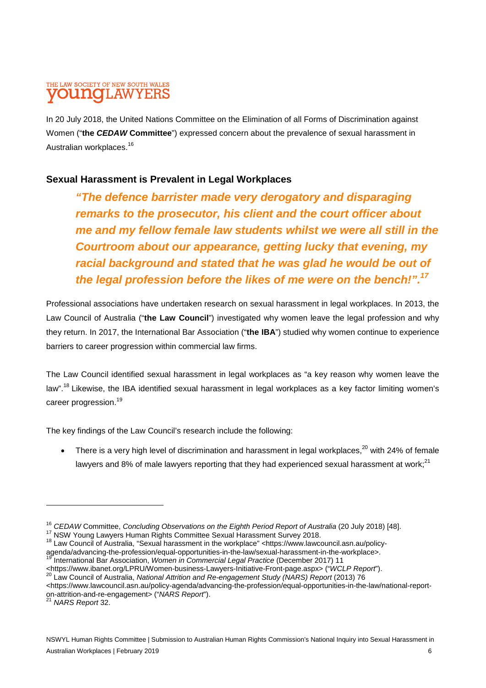# THE LAW SOCIETY OF NEW SOUTH WALES **OUINCILAW**

In 20 July 2018, the United Nations Committee on the Elimination of all Forms of Discrimination against Women ("**the** *CEDAW* **Committee**") expressed concern about the prevalence of sexual harassment in Australian workplaces.<sup>16</sup>

# **Sexual Harassment is Prevalent in Legal Workplaces**

*"The defence barrister made very derogatory and disparaging remarks to the prosecutor, his client and the court officer about me and my fellow female law students whilst we were all still in the Courtroom about our appearance, getting lucky that evening, my racial background and stated that he was glad he would be out of the legal profession before the likes of me were on the bench!".<sup>17</sup>*

Professional associations have undertaken research on sexual harassment in legal workplaces. In 2013, the Law Council of Australia ("**the Law Council**") investigated why women leave the legal profession and why they return. In 2017, the International Bar Association ("**the IBA**") studied why women continue to experience barriers to career progression within commercial law firms.

The Law Council identified sexual harassment in legal workplaces as "a key reason why women leave the law".<sup>18</sup> Likewise, the IBA identified sexual harassment in legal workplaces as a key factor limiting women's career progression.<sup>19</sup>

The key findings of the Law Council's research include the following:

There is a very high level of discrimination and harassment in legal workplaces,<sup>20</sup> with 24% of female lawyers and 8% of male lawyers reporting that they had experienced sexual harassment at work;<sup>21</sup>

<sup>&</sup>lt;sup>16</sup> CEDAW Committee, Concluding Observations on the Eighth Period Report of Australia (20 July 2018) [48].

<sup>17</sup> NSW Young Lawyers Human Rights Committee Sexual Harassment Survey 2018.

<sup>18</sup> Law Council of Australia, "Sexual harassment in the workplace" <https://www.lawcouncil.asn.au/policyagenda/advancing-the-profession/equal-opportunities-in-the-law/sexual-harassment-in-the-workplace>. <sup>19</sup> International Bar Association, *Women in Commercial Legal Practice* (December 2017) 11

<sup>&</sup>lt;https://www.ibanet.org/LPRU/Women-business-Lawyers-Initiative-Front-page.aspx> ("*WCLP Report*").

<sup>20</sup> Law Council of Australia, *National Attrition and Re-engagement Study (NARS) Report* (2013) 76

<sup>&</sup>lt;https://www.lawcouncil.asn.au/policy-agenda/advancing-the-profession/equal-opportunities-in-the-law/national-reporton-attrition-and-re-engagement> ("*NARS Report*").

<sup>21</sup> *NARS Report* 32.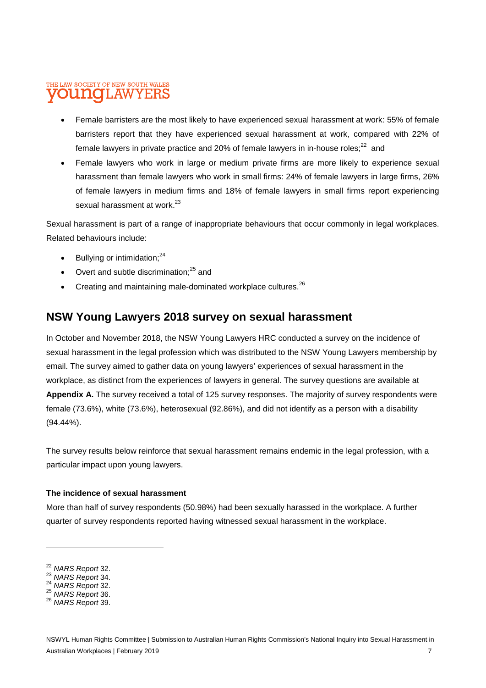### THE LAW SOCIETY OF NEW SOUTH WALES **LINOTI, AW**

- Female barristers are the most likely to have experienced sexual harassment at work: 55% of female barristers report that they have experienced sexual harassment at work, compared with 22% of female lawyers in private practice and 20% of female lawyers in in-house roles; $^{22}$  and
- Female lawyers who work in large or medium private firms are more likely to experience sexual harassment than female lawyers who work in small firms: 24% of female lawyers in large firms, 26% of female lawyers in medium firms and 18% of female lawyers in small firms report experiencing sexual harassment at work $^{23}$

Sexual harassment is part of a range of inappropriate behaviours that occur commonly in legal workplaces. Related behaviours include:

- Bullying or intimidation:<sup>24</sup>
- Overt and subtle discrimination; $^{25}$  and
- Creating and maintaining male-dominated workplace cultures. $^{26}$

# **NSW Young Lawyers 2018 survey on sexual harassment**

In October and November 2018, the NSW Young Lawyers HRC conducted a survey on the incidence of sexual harassment in the legal profession which was distributed to the NSW Young Lawyers membership by email. The survey aimed to gather data on young lawyers' experiences of sexual harassment in the workplace, as distinct from the experiences of lawyers in general. The survey questions are available at **Appendix A.** The survey received a total of 125 survey responses. The majority of survey respondents were female (73.6%), white (73.6%), heterosexual (92.86%), and did not identify as a person with a disability (94.44%).

The survey results below reinforce that sexual harassment remains endemic in the legal profession, with a particular impact upon young lawyers.

### **The incidence of sexual harassment**

More than half of survey respondents (50.98%) had been sexually harassed in the workplace. A further quarter of survey respondents reported having witnessed sexual harassment in the workplace.

<sup>22</sup> *NARS Report* 32.

<sup>23</sup> *NARS Report* 34.

<sup>24</sup> *NARS Report* 32.

<sup>25</sup> *NARS Report* 36.

<sup>26</sup> *NARS Report* 39.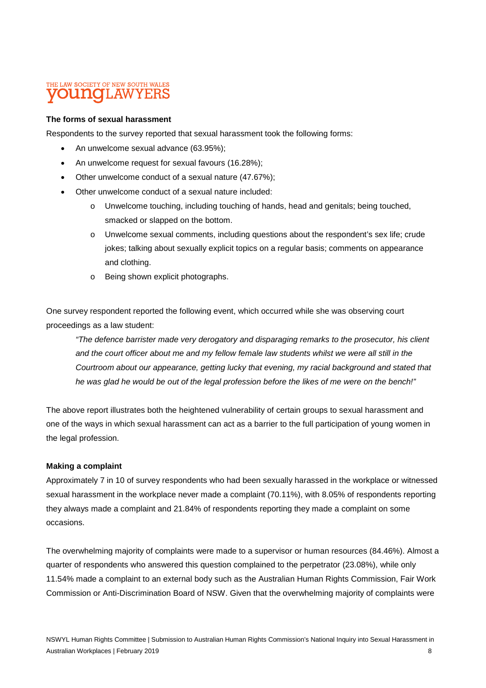# THE LAW SOCIETY OF NEW SOUTH WALES

### **The forms of sexual harassment**

Respondents to the survey reported that sexual harassment took the following forms:

- An unwelcome sexual advance (63.95%):
- An unwelcome request for sexual favours (16.28%);
- Other unwelcome conduct of a sexual nature (47.67%);
- Other unwelcome conduct of a sexual nature included:
	- o Unwelcome touching, including touching of hands, head and genitals; being touched, smacked or slapped on the bottom.
	- o Unwelcome sexual comments, including questions about the respondent's sex life; crude jokes; talking about sexually explicit topics on a regular basis; comments on appearance and clothing.
	- o Being shown explicit photographs.

One survey respondent reported the following event, which occurred while she was observing court proceedings as a law student:

*"The defence barrister made very derogatory and disparaging remarks to the prosecutor, his client and the court officer about me and my fellow female law students whilst we were all still in the Courtroom about our appearance, getting lucky that evening, my racial background and stated that he was glad he would be out of the legal profession before the likes of me were on the bench!"*

The above report illustrates both the heightened vulnerability of certain groups to sexual harassment and one of the ways in which sexual harassment can act as a barrier to the full participation of young women in the legal profession.

### **Making a complaint**

Approximately 7 in 10 of survey respondents who had been sexually harassed in the workplace or witnessed sexual harassment in the workplace never made a complaint (70.11%), with 8.05% of respondents reporting they always made a complaint and 21.84% of respondents reporting they made a complaint on some occasions.

The overwhelming majority of complaints were made to a supervisor or human resources (84.46%). Almost a quarter of respondents who answered this question complained to the perpetrator (23.08%), while only 11.54% made a complaint to an external body such as the Australian Human Rights Commission, Fair Work Commission or Anti-Discrimination Board of NSW. Given that the overwhelming majority of complaints were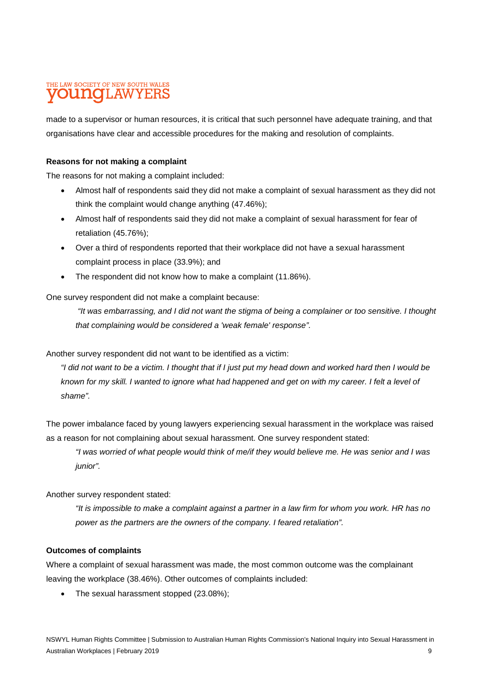# THE LAW SOCIETY OF NEW SOUTH WALES **INOLAWYERS**

made to a supervisor or human resources, it is critical that such personnel have adequate training, and that organisations have clear and accessible procedures for the making and resolution of complaints.

### **Reasons for not making a complaint**

The reasons for not making a complaint included:

- Almost half of respondents said they did not make a complaint of sexual harassment as they did not think the complaint would change anything (47.46%);
- Almost half of respondents said they did not make a complaint of sexual harassment for fear of retaliation (45.76%);
- Over a third of respondents reported that their workplace did not have a sexual harassment complaint process in place (33.9%); and
- The respondent did not know how to make a complaint (11.86%).

One survey respondent did not make a complaint because:

 *"It was embarrassing, and I did not want the stigma of being a complainer or too sensitive. I thought that complaining would be considered a 'weak female' response".* 

Another survey respondent did not want to be identified as a victim:

*"I did not want to be a victim. I thought that if I just put my head down and worked hard then I would be known for my skill. I wanted to ignore what had happened and get on with my career. I felt a level of shame".* 

The power imbalance faced by young lawyers experiencing sexual harassment in the workplace was raised as a reason for not complaining about sexual harassment. One survey respondent stated:

*"I was worried of what people would think of me/if they would believe me. He was senior and I was junior".* 

Another survey respondent stated:

*"It is impossible to make a complaint against a partner in a law firm for whom you work. HR has no power as the partners are the owners of the company. I feared retaliation".* 

### **Outcomes of complaints**

Where a complaint of sexual harassment was made, the most common outcome was the complainant leaving the workplace (38.46%). Other outcomes of complaints included:

• The sexual harassment stopped (23.08%);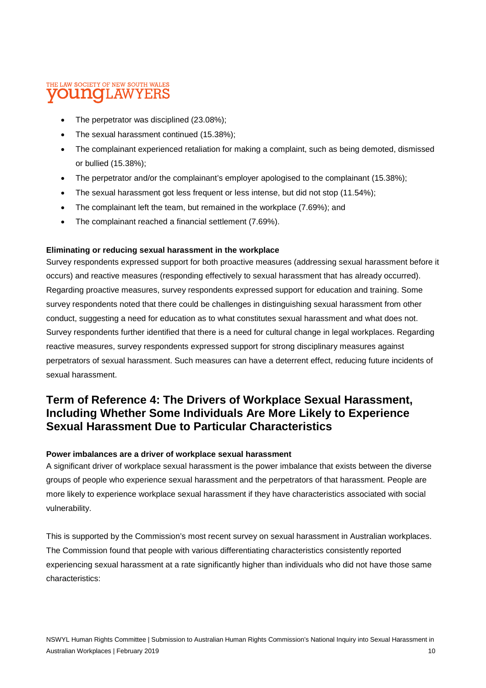# THE LAW SOCIETY OF NEW SOUTH WALES **OUNCLAWYERS**

- The perpetrator was disciplined (23.08%);
- The sexual harassment continued (15.38%):
- The complainant experienced retaliation for making a complaint, such as being demoted, dismissed or bullied (15.38%);
- The perpetrator and/or the complainant's employer apologised to the complainant (15.38%);
- The sexual harassment got less frequent or less intense, but did not stop (11.54%);
- The complainant left the team, but remained in the workplace (7.69%); and
- The complainant reached a financial settlement (7.69%).

### **Eliminating or reducing sexual harassment in the workplace**

Survey respondents expressed support for both proactive measures (addressing sexual harassment before it occurs) and reactive measures (responding effectively to sexual harassment that has already occurred). Regarding proactive measures, survey respondents expressed support for education and training. Some survey respondents noted that there could be challenges in distinguishing sexual harassment from other conduct, suggesting a need for education as to what constitutes sexual harassment and what does not. Survey respondents further identified that there is a need for cultural change in legal workplaces. Regarding reactive measures, survey respondents expressed support for strong disciplinary measures against perpetrators of sexual harassment. Such measures can have a deterrent effect, reducing future incidents of sexual harassment.

# **Term of Reference 4: The Drivers of Workplace Sexual Harassment, Including Whether Some Individuals Are More Likely to Experience Sexual Harassment Due to Particular Characteristics**

### **Power imbalances are a driver of workplace sexual harassment**

A significant driver of workplace sexual harassment is the power imbalance that exists between the diverse groups of people who experience sexual harassment and the perpetrators of that harassment. People are more likely to experience workplace sexual harassment if they have characteristics associated with social vulnerability.

This is supported by the Commission's most recent survey on sexual harassment in Australian workplaces. The Commission found that people with various differentiating characteristics consistently reported experiencing sexual harassment at a rate significantly higher than individuals who did not have those same characteristics: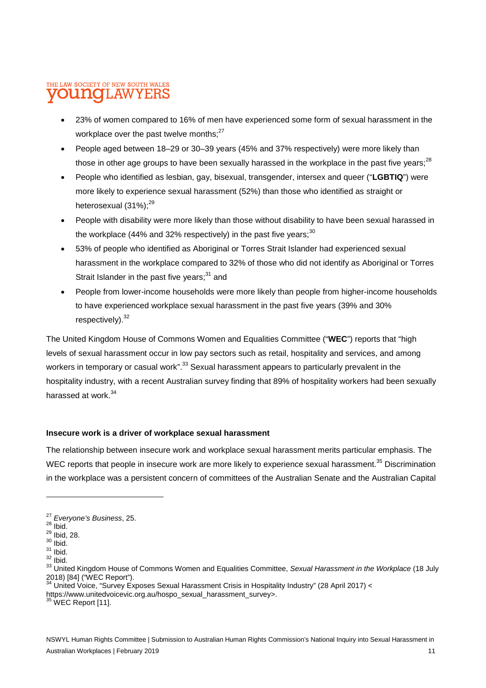### THE LAW SOCIETY OF NEW SOUTH WALES **LINOIL AW**

- 23% of women compared to 16% of men have experienced some form of sexual harassment in the workplace over the past twelve months; $^{27}$
- People aged between 18–29 or 30–39 years (45% and 37% respectively) were more likely than those in other age groups to have been sexually harassed in the workplace in the past five years; $^{28}$
- People who identified as lesbian, gay, bisexual, transgender, intersex and queer ("**LGBTIQ**") were more likely to experience sexual harassment (52%) than those who identified as straight or heterosexual  $(31\%)$ ;<sup>29</sup>
- People with disability were more likely than those without disability to have been sexual harassed in the workplace (44% and 32% respectively) in the past five years;<sup>30</sup>
- 53% of people who identified as Aboriginal or Torres Strait Islander had experienced sexual harassment in the workplace compared to 32% of those who did not identify as Aboriginal or Torres Strait Islander in the past five years; $31$  and
- People from lower-income households were more likely than people from higher-income households to have experienced workplace sexual harassment in the past five years (39% and 30% respectively). $32$

The United Kingdom House of Commons Women and Equalities Committee ("**WEC**") reports that "high levels of sexual harassment occur in low pay sectors such as retail, hospitality and services, and among workers in temporary or casual work".<sup>33</sup> Sexual harassment appears to particularly prevalent in the hospitality industry, with a recent Australian survey finding that 89% of hospitality workers had been sexually harassed at work.<sup>34</sup>

### **Insecure work is a driver of workplace sexual harassment**

The relationship between insecure work and workplace sexual harassment merits particular emphasis. The WEC reports that people in insecure work are more likely to experience sexual harassment.<sup>35</sup> Discrimination in the workplace was a persistent concern of committees of the Australian Senate and the Australian Capital

 $35$  WEC Report [11].

<sup>27</sup> *Everyone's Business*, 25.

 $^{28}$  Ibid.

 $^{29}$  Ibid, 28.

 $30$  lbid.  $31$  lbid.

 $32$  Ibid.

<sup>33</sup> United Kingdom House of Commons Women and Equalities Committee, *Sexual Harassment in the Workplace* (18 July 2018) [84] ("WEC Report").

<sup>34</sup> United Voice, "Survey Exposes Sexual Harassment Crisis in Hospitality Industry" (28 April 2017) <

https://www.unitedvoicevic.org.au/hospo\_sexual\_harassment\_survey>.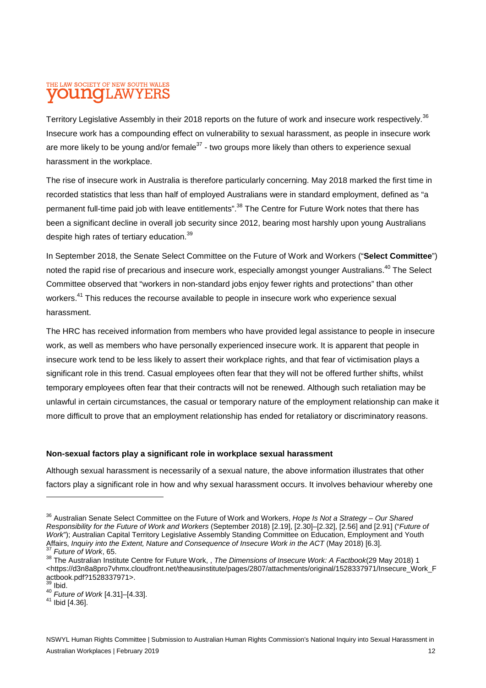# THE LAW SOCIETY OF NEW SOUTH WALES **LINOTLAW**

Territory Legislative Assembly in their 2018 reports on the future of work and insecure work respectively.<sup>36</sup> Insecure work has a compounding effect on vulnerability to sexual harassment, as people in insecure work are more likely to be young and/or female<sup>37</sup> - two groups more likely than others to experience sexual harassment in the workplace.

The rise of insecure work in Australia is therefore particularly concerning. May 2018 marked the first time in recorded statistics that less than half of employed Australians were in standard employment, defined as "a permanent full-time paid job with leave entitlements".<sup>38</sup> The Centre for Future Work notes that there has been a significant decline in overall job security since 2012, bearing most harshly upon young Australians despite high rates of tertiary education.<sup>39</sup>

In September 2018, the Senate Select Committee on the Future of Work and Workers ("**Select Committee**") noted the rapid rise of precarious and insecure work, especially amongst younger Australians.<sup>40</sup> The Select Committee observed that "workers in non-standard jobs enjoy fewer rights and protections" than other workers.<sup>41</sup> This reduces the recourse available to people in insecure work who experience sexual harassment.

The HRC has received information from members who have provided legal assistance to people in insecure work, as well as members who have personally experienced insecure work. It is apparent that people in insecure work tend to be less likely to assert their workplace rights, and that fear of victimisation plays a significant role in this trend. Casual employees often fear that they will not be offered further shifts, whilst temporary employees often fear that their contracts will not be renewed. Although such retaliation may be unlawful in certain circumstances, the casual or temporary nature of the employment relationship can make it more difficult to prove that an employment relationship has ended for retaliatory or discriminatory reasons.

### **Non-sexual factors play a significant role in workplace sexual harassment**

Although sexual harassment is necessarily of a sexual nature, the above information illustrates that other factors play a significant role in how and why sexual harassment occurs. It involves behaviour whereby one

- Ibid.
- <sup>40</sup> *Future of Work* [4.31]–[4.33].
- <sup>41</sup> Ibid [4.36].

<sup>36</sup> Australian Senate Select Committee on the Future of Work and Workers, *Hope Is Not a Strategy – Our Shared Responsibility for the Future of Work and Workers* (September 2018) [2.19], [2.30]–[2.32], [2.56] and [2.91] ("*Future of Work*"); Australian Capital Territory Legislative Assembly Standing Committee on Education, Employment and Youth Affairs, *Inquiry into the Extent, Nature and Consequence of Insecure Work in the ACT* (May 2018) [6.3]. <sup>37</sup> *Future of Work*, 65.

<sup>38</sup> The Australian Institute Centre for Future Work, , *The Dimensions of Insecure Work: A Factbook*(29 May 2018) 1 <https://d3n8a8pro7vhmx.cloudfront.net/theausinstitute/pages/2807/attachments/original/1528337971/Insecure\_Work\_F actbook.pdf?1528337971>.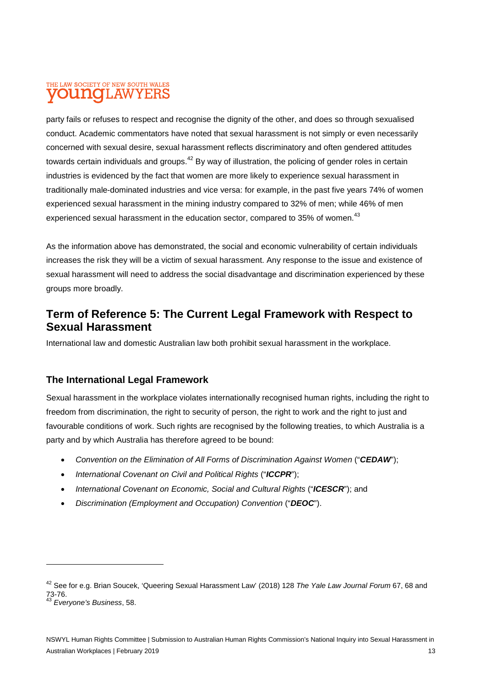# THE LAW SOCIETY OF NEW SOUTH WALES **UNOLAWYERS**

party fails or refuses to respect and recognise the dignity of the other, and does so through sexualised conduct. Academic commentators have noted that sexual harassment is not simply or even necessarily concerned with sexual desire, sexual harassment reflects discriminatory and often gendered attitudes towards certain individuals and groups.<sup>42</sup> By way of illustration, the policing of gender roles in certain industries is evidenced by the fact that women are more likely to experience sexual harassment in traditionally male-dominated industries and vice versa: for example, in the past five years 74% of women experienced sexual harassment in the mining industry compared to 32% of men; while 46% of men experienced sexual harassment in the education sector, compared to 35% of women.<sup>43</sup>

As the information above has demonstrated, the social and economic vulnerability of certain individuals increases the risk they will be a victim of sexual harassment. Any response to the issue and existence of sexual harassment will need to address the social disadvantage and discrimination experienced by these groups more broadly.

# **Term of Reference 5: The Current Legal Framework with Respect to Sexual Harassment**

International law and domestic Australian law both prohibit sexual harassment in the workplace.

# **The International Legal Framework**

Sexual harassment in the workplace violates internationally recognised human rights, including the right to freedom from discrimination, the right to security of person, the right to work and the right to just and favourable conditions of work. Such rights are recognised by the following treaties, to which Australia is a party and by which Australia has therefore agreed to be bound:

- *Convention on the Elimination of All Forms of Discrimination Against Women* ("**CEDAW**");
- *International Covenant on Civil and Political Rights* ("ICCPR");
- *International Covenant on Economic, Social and Cultural Rights ("ICESCR"); and*
- *Discrimination (Employment and Occupation) Convention* ("*DEOC*").

<sup>42</sup> See for e.g. Brian Soucek, 'Queering Sexual Harassment Law' (2018) 128 *The Yale Law Journal Forum* 67, 68 and 73-76.

<sup>43</sup> *Everyone's Business*, 58.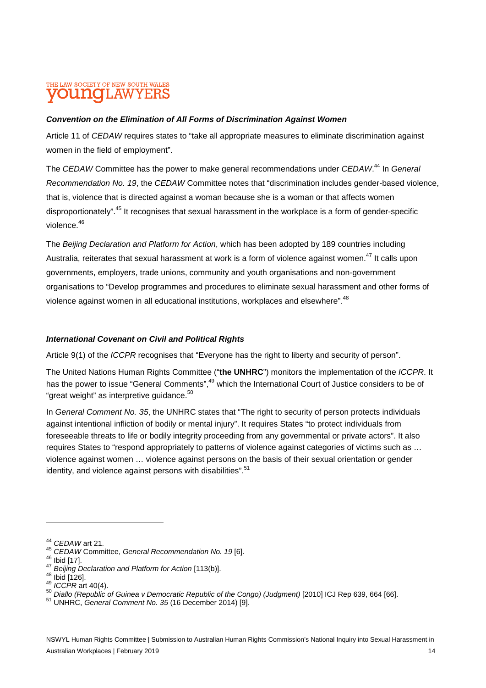# THE LAW SOCIETY OF NEW SOUTH WALES AW

### *Convention on the Elimination of All Forms of Discrimination Against Women*

Article 11 of *CEDAW* requires states to "take all appropriate measures to eliminate discrimination against women in the field of employment".

The *CEDAW* Committee has the power to make general recommendations under *CEDAW*. <sup>44</sup> In *General Recommendation No. 19*, the *CEDAW* Committee notes that "discrimination includes gender-based violence, that is, violence that is directed against a woman because she is a woman or that affects women disproportionately".<sup>45</sup> It recognises that sexual harassment in the workplace is a form of gender-specific violence.<sup>46</sup>

The *Beijing Declaration and Platform for Action*, which has been adopted by 189 countries including Australia, reiterates that sexual harassment at work is a form of violence against women.<sup>47</sup> It calls upon governments, employers, trade unions, community and youth organisations and non-government organisations to "Develop programmes and procedures to eliminate sexual harassment and other forms of violence against women in all educational institutions, workplaces and elsewhere".<sup>48</sup>

### *International Covenant on Civil and Political Rights*

Article 9(1) of the *ICCPR* recognises that "Everyone has the right to liberty and security of person".

The United Nations Human Rights Committee ("**the UNHRC**") monitors the implementation of the *ICCPR*. It has the power to issue "General Comments",<sup>49</sup> which the International Court of Justice considers to be of "great weight" as interpretive guidance.<sup>50</sup>

In *General Comment No. 35*, the UNHRC states that "The right to security of person protects individuals against intentional infliction of bodily or mental injury". It requires States "to protect individuals from foreseeable threats to life or bodily integrity proceeding from any governmental or private actors". It also requires States to "respond appropriately to patterns of violence against categories of victims such as … violence against women … violence against persons on the basis of their sexual orientation or gender identity, and violence against persons with disabilities".<sup>51</sup>

<sup>44</sup> *CEDAW* art 21.

<sup>45</sup> *CEDAW* Committee, *General Recommendation No. 19* [6].

 $46$  Ibid [17].

<sup>47</sup> *Beijing Declaration and Platform for Action* [113(b)].

 $48$  Ibid [126].

<sup>49</sup> *ICCPR* art 40(4).

<sup>50</sup> Diallo (Republic of Guinea v Democratic Republic of the Congo) (Judgment) [2010] ICJ Rep 639, 664 [66].

<sup>51</sup> UNHRC, *General Comment No. 35* (16 December 2014) [9].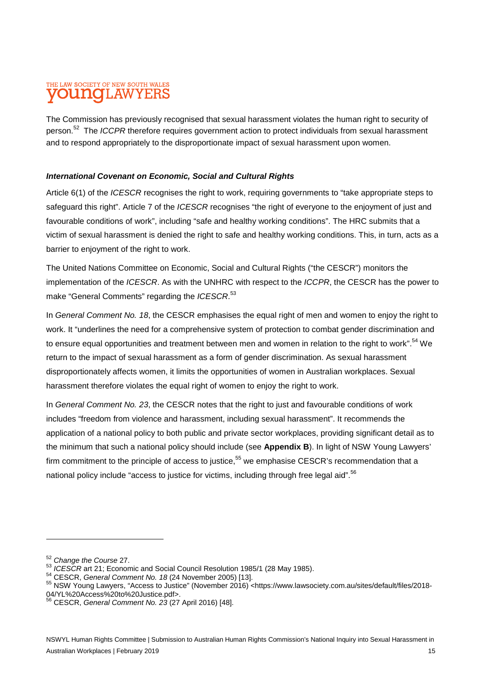# THE LAW SOCIETY OF NEW SOUTH WALES **UNOLAW**

The Commission has previously recognised that sexual harassment violates the human right to security of person.<sup>52</sup> The *ICCPR* therefore requires government action to protect individuals from sexual harassment and to respond appropriately to the disproportionate impact of sexual harassment upon women.

### *International Covenant on Economic, Social and Cultural Rights*

Article 6(1) of the *ICESCR* recognises the right to work, requiring governments to "take appropriate steps to safeguard this right". Article 7 of the *ICESCR* recognises "the right of everyone to the enjoyment of just and favourable conditions of work", including "safe and healthy working conditions". The HRC submits that a victim of sexual harassment is denied the right to safe and healthy working conditions. This, in turn, acts as a barrier to enjoyment of the right to work.

The United Nations Committee on Economic, Social and Cultural Rights ("the CESCR") monitors the implementation of the *ICESCR*. As with the UNHRC with respect to the *ICCPR*, the CESCR has the power to make "General Comments" regarding the *ICESCR*. 53

In *General Comment No. 18*, the CESCR emphasises the equal right of men and women to enjoy the right to work. It "underlines the need for a comprehensive system of protection to combat gender discrimination and to ensure equal opportunities and treatment between men and women in relation to the right to work".<sup>54</sup> We return to the impact of sexual harassment as a form of gender discrimination. As sexual harassment disproportionately affects women, it limits the opportunities of women in Australian workplaces. Sexual harassment therefore violates the equal right of women to enjoy the right to work.

In *General Comment No. 23*, the CESCR notes that the right to just and favourable conditions of work includes "freedom from violence and harassment, including sexual harassment". It recommends the application of a national policy to both public and private sector workplaces, providing significant detail as to the minimum that such a national policy should include (see **Appendix B**). In light of NSW Young Lawyers' firm commitment to the principle of access to justice.<sup>55</sup> we emphasise CESCR's recommendation that a national policy include "access to justice for victims, including through free legal aid".<sup>56</sup>

<sup>52</sup> *Change the Course* 27.

<sup>53</sup> *ICESCR* art 21; Economic and Social Council Resolution 1985/1 (28 May 1985).

<sup>54</sup> CESCR, *General Comment No. 18* (24 November 2005) [13].

<sup>55</sup> NSW Young Lawyers, "Access to Justice" (November 2016) <https://www.lawsociety.com.au/sites/default/files/2018- 04/YL%20Access%20to%20Justice.pdf>.

<sup>56</sup> CESCR, *General Comment No. 23* (27 April 2016) [48].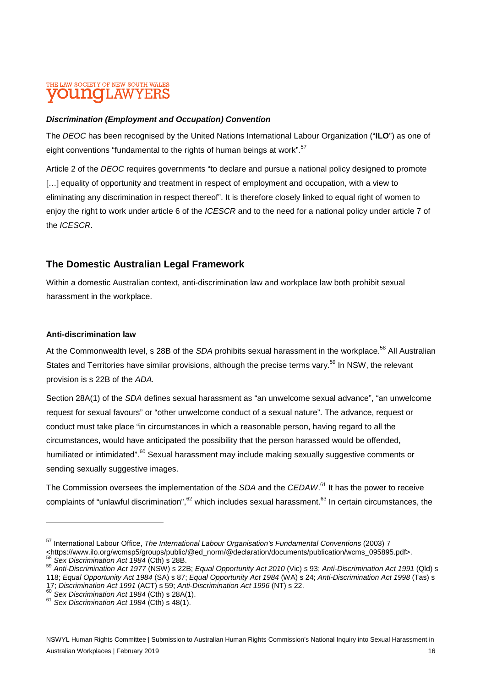# THE LAW SOCIETY OF NEW SOUTH WALES **LINOIL AW**

### *Discrimination (Employment and Occupation) Convention*

The *DEOC* has been recognised by the United Nations International Labour Organization ("**ILO**") as one of eight conventions "fundamental to the rights of human beings at work".<sup>57</sup>

Article 2 of the *DEOC* requires governments "to declare and pursue a national policy designed to promote [...] equality of opportunity and treatment in respect of employment and occupation, with a view to eliminating any discrimination in respect thereof". It is therefore closely linked to equal right of women to enjoy the right to work under article 6 of the *ICESCR* and to the need for a national policy under article 7 of the *ICESCR*.

### **The Domestic Australian Legal Framework**

Within a domestic Australian context, anti-discrimination law and workplace law both prohibit sexual harassment in the workplace.

### **Anti-discrimination law**

At the Commonwealth level, s 28B of the *SDA* prohibits sexual harassment in the workplace.<sup>58</sup> All Australian States and Territories have similar provisions, although the precise terms vary.<sup>59</sup> In NSW, the relevant provision is s 22B of the *ADA.*

Section 28A(1) of the *SDA* defines sexual harassment as "an unwelcome sexual advance", "an unwelcome request for sexual favours" or "other unwelcome conduct of a sexual nature". The advance, request or conduct must take place "in circumstances in which a reasonable person, having regard to all the circumstances, would have anticipated the possibility that the person harassed would be offended, humiliated or intimidated".<sup>60</sup> Sexual harassment may include making sexually suggestive comments or sending sexually suggestive images.

The Commission oversees the implementation of the *SDA* and the *CEDAW*. <sup>61</sup> It has the power to receive complaints of "unlawful discrimination", $62$  which includes sexual harassment. $63$  In certain circumstances, the

<sup>58</sup> *Sex Discrimination Act 1984* (Cth) s 28B.

<sup>57</sup> International Labour Office, *The International Labour Organisation's Fundamental Conventions* (2003) 7 <https://www.ilo.org/wcmsp5/groups/public/@ed\_norm/@declaration/documents/publication/wcms\_095895.pdf>.

<sup>59</sup> *Anti-Discrimination Act 1977* (NSW) s 22B; *Equal Opportunity Act 2010* (Vic) s 93; *Anti-Discrimination Act 1991* (Qld) s 118; *Equal Opportunity Act 1984* (SA) s 87; *Equal Opportunity Act 1984* (WA) s 24; *Anti-Discrimination Act 1998* (Tas) s 17; *Discrimination Act 1991* (ACT) s 59; *Anti-Discrimination Act 1996* (NT) s 22.

<sup>60</sup> *Sex Discrimination Act 1984* (Cth) s 28A(1).

<sup>61</sup> *Sex Discrimination Act 1984* (Cth) s 48(1).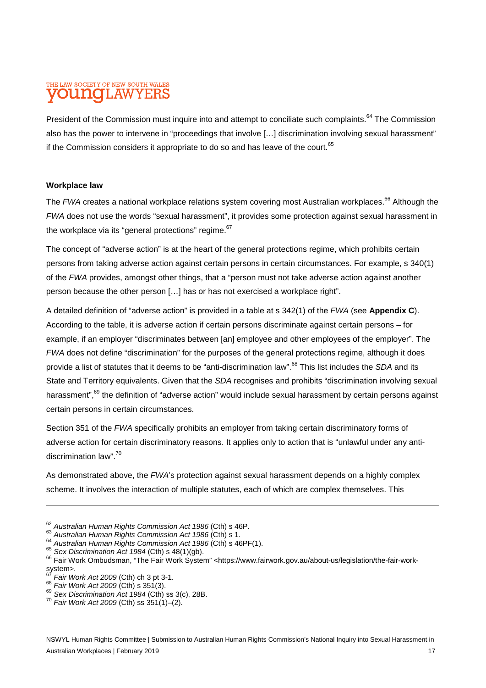# THE LAW SOCIETY OF NEW SOUTH WALES AW

President of the Commission must inquire into and attempt to conciliate such complaints.<sup>64</sup> The Commission also has the power to intervene in "proceedings that involve […] discrimination involving sexual harassment" if the Commission considers it appropriate to do so and has leave of the court.<sup>65</sup>

### **Workplace law**

The FWA creates a national workplace relations system covering most Australian workplaces.<sup>66</sup> Although the *FWA* does not use the words "sexual harassment", it provides some protection against sexual harassment in the workplace via its "general protections" regime.<sup>67</sup>

The concept of "adverse action" is at the heart of the general protections regime, which prohibits certain persons from taking adverse action against certain persons in certain circumstances. For example, s 340(1) of the *FWA* provides, amongst other things, that a "person must not take adverse action against another person because the other person […] has or has not exercised a workplace right".

A detailed definition of "adverse action" is provided in a table at s 342(1) of the *FWA* (see **Appendix C**). According to the table, it is adverse action if certain persons discriminate against certain persons – for example, if an employer "discriminates between [an] employee and other employees of the employer". The *FWA* does not define "discrimination" for the purposes of the general protections regime, although it does provide a list of statutes that it deems to be "anti-discrimination law".<sup>68</sup> This list includes the *SDA* and its State and Territory equivalents. Given that the *SDA* recognises and prohibits "discrimination involving sexual harassment",<sup>69</sup> the definition of "adverse action" would include sexual harassment by certain persons against certain persons in certain circumstances.

Section 351 of the *FWA* specifically prohibits an employer from taking certain discriminatory forms of adverse action for certain discriminatory reasons. It applies only to action that is "unlawful under any antidiscrimination law".<sup>70</sup>

As demonstrated above, the *FWA*'s protection against sexual harassment depends on a highly complex scheme. It involves the interaction of multiple statutes, each of which are complex themselves. This

<sup>62</sup> *Australian Human Rights Commission Act 1986* (Cth) s 46P.

<sup>63</sup> *Australian Human Rights Commission Act 1986* (Cth) s 1.

<sup>64</sup> *Australian Human Rights Commission Act 1986* (Cth) s 46PF(1).

<sup>65</sup> *Sex Discrimination Act 1984* (Cth) s 48(1)(gb).

<sup>66</sup> Fair Work Ombudsman, "The Fair Work System" <https://www.fairwork.gov.au/about-us/legislation/the-fair-worksystem>.

<sup>67</sup> *Fair Work Act 2009* (Cth) ch 3 pt 3-1.

<sup>68</sup> *Fair Work Act 2009* (Cth) s 351(3).

<sup>69</sup> *Sex Discrimination Act 1984* (Cth) ss 3(c), 28B.

<sup>70</sup> *Fair Work Act 2009* (Cth) ss 351(1)–(2).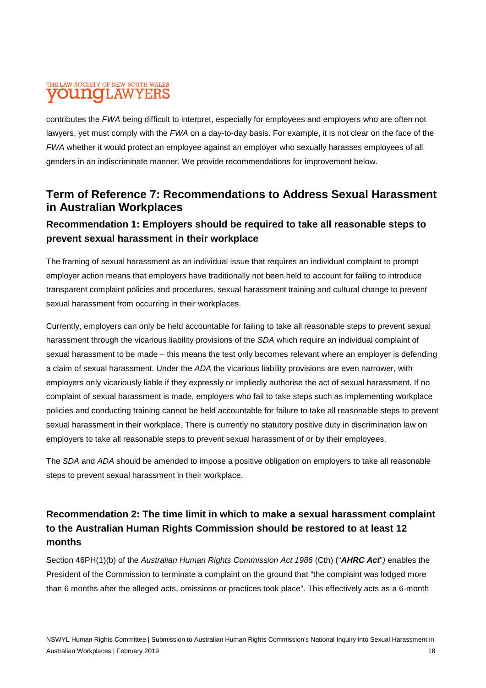# THE LAW SOCIETY OF NEW SOUTH WALES **OUNOLAWYERS**

contributes the *FWA* being difficult to interpret, especially for employees and employers who are often not lawyers, yet must comply with the *FWA* on a day-to-day basis. For example, it is not clear on the face of the *FWA* whether it would protect an employee against an employer who sexually harasses employees of all genders in an indiscriminate manner. We provide recommendations for improvement below.

# **Term of Reference 7: Recommendations to Address Sexual Harassment in Australian Workplaces**

# **Recommendation 1: Employers should be required to take all reasonable steps to prevent sexual harassment in their workplace**

The framing of sexual harassment as an individual issue that requires an individual complaint to prompt employer action means that employers have traditionally not been held to account for failing to introduce transparent complaint policies and procedures, sexual harassment training and cultural change to prevent sexual harassment from occurring in their workplaces.

Currently, employers can only be held accountable for failing to take all reasonable steps to prevent sexual harassment through the vicarious liability provisions of the *SDA* which require an individual complaint of sexual harassment to be made – this means the test only becomes relevant where an employer is defending a claim of sexual harassment. Under the *ADA* the vicarious liability provisions are even narrower, with employers only vicariously liable if they expressly or impliedly authorise the act of sexual harassment. If no complaint of sexual harassment is made, employers who fail to take steps such as implementing workplace policies and conducting training cannot be held accountable for failure to take all reasonable steps to prevent sexual harassment in their workplace. There is currently no statutory positive duty in discrimination law on employers to take all reasonable steps to prevent sexual harassment of or by their employees.

The *SDA* and *ADA* should be amended to impose a positive obligation on employers to take all reasonable steps to prevent sexual harassment in their workplace.

# **Recommendation 2: The time limit in which to make a sexual harassment complaint to the Australian Human Rights Commission should be restored to at least 12 months**

Section 46PH(1)(b) of the *Australian Human Rights Commission Act 1986* (Cth) ("*AHRC Act*"*)* enables the President of the Commission to terminate a complaint on the ground that "the complaint was lodged more than 6 months after the alleged acts, omissions or practices took place". This effectively acts as a 6-month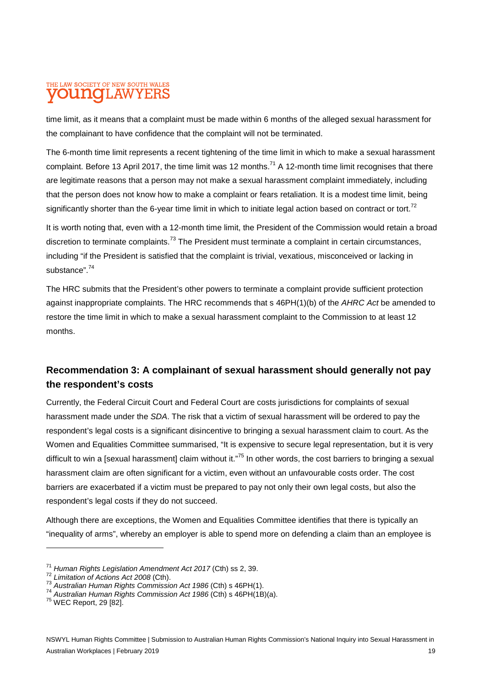# THE LAW SOCIETY OF NEW SOUTH WALES **LINOTLAW**

time limit, as it means that a complaint must be made within 6 months of the alleged sexual harassment for the complainant to have confidence that the complaint will not be terminated.

The 6-month time limit represents a recent tightening of the time limit in which to make a sexual harassment complaint. Before 13 April 2017, the time limit was 12 months.<sup>71</sup> A 12-month time limit recognises that there are legitimate reasons that a person may not make a sexual harassment complaint immediately, including that the person does not know how to make a complaint or fears retaliation. It is a modest time limit, being significantly shorter than the 6-year time limit in which to initiate legal action based on contract or tort.<sup>72</sup>

It is worth noting that, even with a 12-month time limit, the President of the Commission would retain a broad discretion to terminate complaints.<sup>73</sup> The President must terminate a complaint in certain circumstances, including "if the President is satisfied that the complaint is trivial, vexatious, misconceived or lacking in substance".<sup>74</sup>

The HRC submits that the President's other powers to terminate a complaint provide sufficient protection against inappropriate complaints. The HRC recommends that s 46PH(1)(b) of the *AHRC Act* be amended to restore the time limit in which to make a sexual harassment complaint to the Commission to at least 12 months.

# **Recommendation 3: A complainant of sexual harassment should generally not pay the respondent's costs**

Currently, the Federal Circuit Court and Federal Court are costs jurisdictions for complaints of sexual harassment made under the *SDA*. The risk that a victim of sexual harassment will be ordered to pay the respondent's legal costs is a significant disincentive to bringing a sexual harassment claim to court. As the Women and Equalities Committee summarised, "It is expensive to secure legal representation, but it is very difficult to win a [sexual harassment] claim without it."<sup>75</sup> In other words, the cost barriers to bringing a sexual harassment claim are often significant for a victim, even without an unfavourable costs order. The cost barriers are exacerbated if a victim must be prepared to pay not only their own legal costs, but also the respondent's legal costs if they do not succeed.

Although there are exceptions, the Women and Equalities Committee identifies that there is typically an "inequality of arms", whereby an employer is able to spend more on defending a claim than an employee is

<sup>71</sup> *Human Rights Legislation Amendment Act 2017* (Cth) ss 2, 39.

<sup>72</sup> *Limitation of Actions Act 2008* (Cth).

<sup>73</sup> *Australian Human Rights Commission Act 1986* (Cth) s 46PH(1).

<sup>74</sup> *Australian Human Rights Commission Act 1986* (Cth) s 46PH(1B)(a).

<sup>75</sup> WEC Report, 29 [82].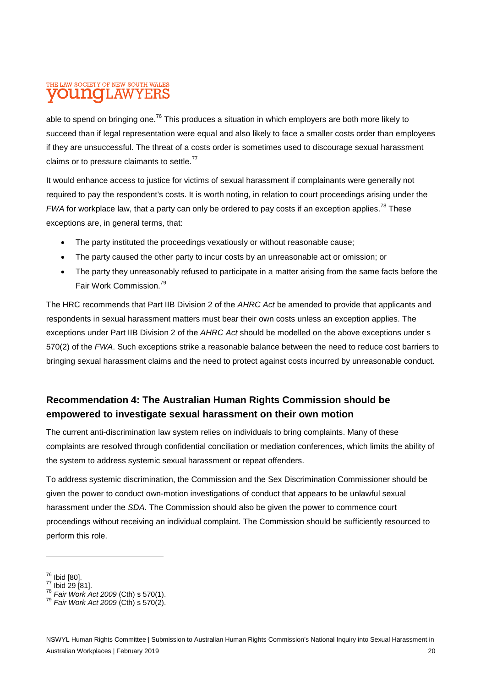# THE LAW SOCIETY OF NEW SOUTH WALES **OUNOLAWYERS**

able to spend on bringing one.<sup>76</sup> This produces a situation in which employers are both more likely to succeed than if legal representation were equal and also likely to face a smaller costs order than employees if they are unsuccessful. The threat of a costs order is sometimes used to discourage sexual harassment claims or to pressure claimants to settle. $77$ 

It would enhance access to justice for victims of sexual harassment if complainants were generally not required to pay the respondent's costs. It is worth noting, in relation to court proceedings arising under the *FWA* for workplace law, that a party can only be ordered to pay costs if an exception applies.<sup>78</sup> These exceptions are, in general terms, that:

- The party instituted the proceedings vexatiously or without reasonable cause;
- The party caused the other party to incur costs by an unreasonable act or omission; or
- The party they unreasonably refused to participate in a matter arising from the same facts before the Fair Work Commission.<sup>79</sup>

The HRC recommends that Part IIB Division 2 of the *AHRC Act* be amended to provide that applicants and respondents in sexual harassment matters must bear their own costs unless an exception applies. The exceptions under Part IIB Division 2 of the *AHRC Act* should be modelled on the above exceptions under s 570(2) of the *FWA*. Such exceptions strike a reasonable balance between the need to reduce cost barriers to bringing sexual harassment claims and the need to protect against costs incurred by unreasonable conduct.

# **Recommendation 4: The Australian Human Rights Commission should be empowered to investigate sexual harassment on their own motion**

The current anti-discrimination law system relies on individuals to bring complaints. Many of these complaints are resolved through confidential conciliation or mediation conferences, which limits the ability of the system to address systemic sexual harassment or repeat offenders.

To address systemic discrimination, the Commission and the Sex Discrimination Commissioner should be given the power to conduct own-motion investigations of conduct that appears to be unlawful sexual harassment under the *SDA*. The Commission should also be given the power to commence court proceedings without receiving an individual complaint. The Commission should be sufficiently resourced to perform this role.

<sup>76</sup> Ibid [80].

 $77 \text{ libid } 29 [81]$ .

<sup>78</sup> *Fair Work Act 2009* (Cth) s 570(1).

<sup>79</sup> *Fair Work Act 2009* (Cth) s 570(2).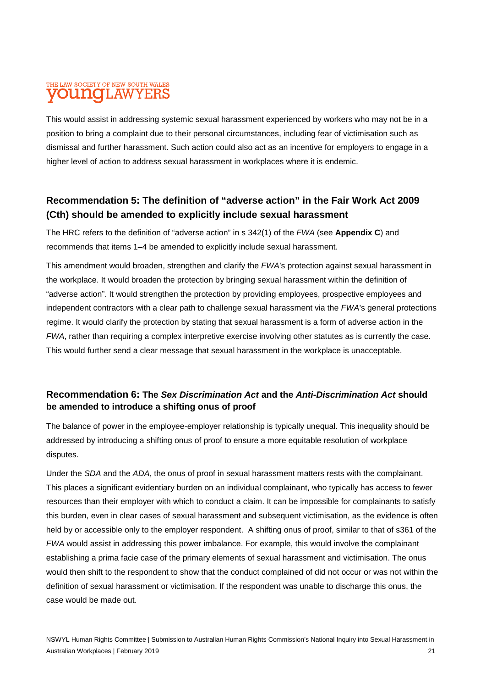# THE LAW SOCIETY OF NEW SOUTH WALES **UNOLAWYERS**

This would assist in addressing systemic sexual harassment experienced by workers who may not be in a position to bring a complaint due to their personal circumstances, including fear of victimisation such as dismissal and further harassment. Such action could also act as an incentive for employers to engage in a higher level of action to address sexual harassment in workplaces where it is endemic.

# **Recommendation 5: The definition of "adverse action" in the Fair Work Act 2009 (Cth) should be amended to explicitly include sexual harassment**

The HRC refers to the definition of "adverse action" in s 342(1) of the *FWA* (see **Appendix C**) and recommends that items 1–4 be amended to explicitly include sexual harassment.

This amendment would broaden, strengthen and clarify the *FWA*'s protection against sexual harassment in the workplace. It would broaden the protection by bringing sexual harassment within the definition of "adverse action". It would strengthen the protection by providing employees, prospective employees and independent contractors with a clear path to challenge sexual harassment via the *FWA*'s general protections regime. It would clarify the protection by stating that sexual harassment is a form of adverse action in the *FWA*, rather than requiring a complex interpretive exercise involving other statutes as is currently the case. This would further send a clear message that sexual harassment in the workplace is unacceptable.

### **Recommendation 6: The** *Sex Discrimination Act* **and the** *Anti-Discrimination Act* **should be amended to introduce a shifting onus of proof**

The balance of power in the employee-employer relationship is typically unequal. This inequality should be addressed by introducing a shifting onus of proof to ensure a more equitable resolution of workplace disputes.

Under the *SDA* and the *ADA*, the onus of proof in sexual harassment matters rests with the complainant. This places a significant evidentiary burden on an individual complainant, who typically has access to fewer resources than their employer with which to conduct a claim. It can be impossible for complainants to satisfy this burden, even in clear cases of sexual harassment and subsequent victimisation, as the evidence is often held by or accessible only to the employer respondent. A shifting onus of proof, similar to that of s361 of the *FWA* would assist in addressing this power imbalance. For example, this would involve the complainant establishing a prima facie case of the primary elements of sexual harassment and victimisation. The onus would then shift to the respondent to show that the conduct complained of did not occur or was not within the definition of sexual harassment or victimisation. If the respondent was unable to discharge this onus, the case would be made out.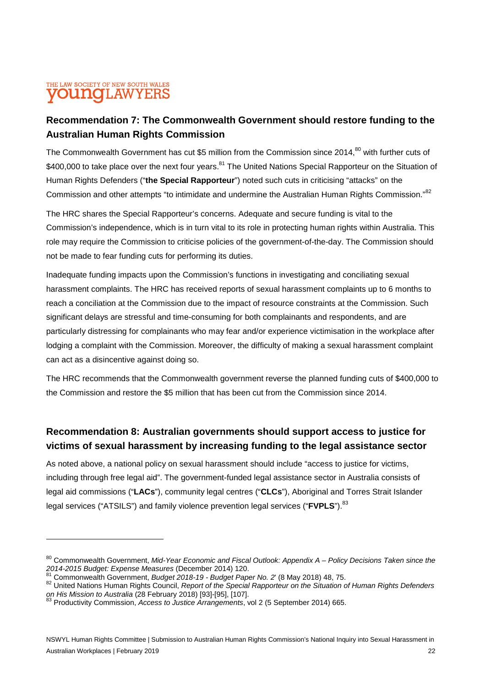# THE LAW SOCIETY OF NEW SOUTH WALES **LINOTI, AW**

# **Recommendation 7: The Commonwealth Government should restore funding to the Australian Human Rights Commission**

The Commonwealth Government has cut \$5 million from the Commission since 2014,<sup>80</sup> with further cuts of \$400,000 to take place over the next four vears.<sup>81</sup> The United Nations Special Rapporteur on the Situation of Human Rights Defenders ("**the Special Rapporteur**") noted such cuts in criticising "attacks" on the Commission and other attempts "to intimidate and undermine the Australian Human Rights Commission."<sup>82</sup>

The HRC shares the Special Rapporteur's concerns. Adequate and secure funding is vital to the Commission's independence, which is in turn vital to its role in protecting human rights within Australia. This role may require the Commission to criticise policies of the government-of-the-day. The Commission should not be made to fear funding cuts for performing its duties.

Inadequate funding impacts upon the Commission's functions in investigating and conciliating sexual harassment complaints. The HRC has received reports of sexual harassment complaints up to 6 months to reach a conciliation at the Commission due to the impact of resource constraints at the Commission. Such significant delays are stressful and time-consuming for both complainants and respondents, and are particularly distressing for complainants who may fear and/or experience victimisation in the workplace after lodging a complaint with the Commission. Moreover, the difficulty of making a sexual harassment complaint can act as a disincentive against doing so.

The HRC recommends that the Commonwealth government reverse the planned funding cuts of \$400,000 to the Commission and restore the \$5 million that has been cut from the Commission since 2014.

# **Recommendation 8: Australian governments should support access to justice for victims of sexual harassment by increasing funding to the legal assistance sector**

As noted above, a national policy on sexual harassment should include "access to justice for victims, including through free legal aid". The government-funded legal assistance sector in Australia consists of legal aid commissions ("**LACs**"), community legal centres ("**CLCs**"), Aboriginal and Torres Strait Islander legal services ("ATSILS") and family violence prevention legal services ("**FVPLS**").<sup>83</sup>

<sup>80</sup> Commonwealth Government, Mid-Year Economic and Fiscal Outlook: Appendix A – Policy Decisions Taken since the *2014-2015 Budget: Expense Measures* (December 2014) 120.

<sup>81</sup> Commonwealth Government, *Budget 2018-19 - Budget Paper No. 2*' (8 May 2018) 48, 75.

<sup>82</sup> United Nations Human Rights Council, *Report of the Special Rapporteur on the Situation of Human Rights Defenders on His Mission to Australia* (28 February 2018) [93]-[95], [107].

<sup>83</sup> Productivity Commission, *Access to Justice Arrangements*, vol 2 (5 September 2014) 665.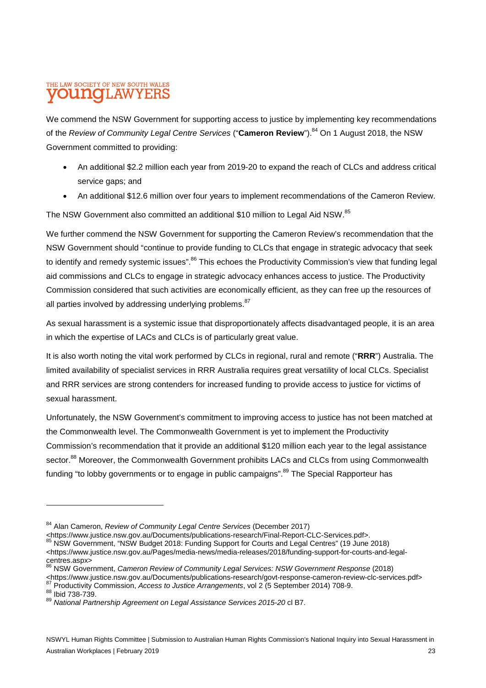### THE LAW SOCIETY OF NEW SOUTH WALES **LINOTLAW**

We commend the NSW Government for supporting access to justice by implementing key recommendations of the *Review of Community Legal Centre Services* ("Cameron Review").<sup>84</sup> On 1 August 2018, the NSW Government committed to providing:

- An additional \$2.2 million each year from 2019-20 to expand the reach of CLCs and address critical service gaps; and
- An additional \$12.6 million over four years to implement recommendations of the Cameron Review.

The NSW Government also committed an additional \$10 million to Legal Aid NSW.<sup>85</sup>

We further commend the NSW Government for supporting the Cameron Review's recommendation that the NSW Government should "continue to provide funding to CLCs that engage in strategic advocacy that seek to identifv and remedy systemic issues".<sup>86</sup> This echoes the Productivity Commission's view that funding legal aid commissions and CLCs to engage in strategic advocacy enhances access to justice. The Productivity Commission considered that such activities are economically efficient, as they can free up the resources of all parties involved by addressing underlying problems. <sup>87</sup>

As sexual harassment is a systemic issue that disproportionately affects disadvantaged people, it is an area in which the expertise of LACs and CLCs is of particularly great value.

It is also worth noting the vital work performed by CLCs in regional, rural and remote ("**RRR**") Australia. The limited availability of specialist services in RRR Australia requires great versatility of local CLCs. Specialist and RRR services are strong contenders for increased funding to provide access to justice for victims of sexual harassment.

Unfortunately, the NSW Government's commitment to improving access to justice has not been matched at the Commonwealth level. The Commonwealth Government is yet to implement the Productivity Commission's recommendation that it provide an additional \$120 million each year to the legal assistance sector.<sup>88</sup> Moreover, the Commonwealth Government prohibits LACs and CLCs from using Commonwealth funding "to lobby governments or to engage in public campaigns".<sup>89</sup> The Special Rapporteur has

<https://www.justice.nsw.gov.au/Documents/publications-research/Final-Report-CLC-Services.pdf>.

<sup>88</sup> Ibid 738-739.

<sup>84</sup> Alan Cameron, *Review of Community Legal Centre Services* (December 2017)

<sup>85</sup> NSW Government, "NSW Budget 2018: Funding Support for Courts and Legal Centres" (19 June 2018) <https://www.justice.nsw.gov.au/Pages/media-news/media-releases/2018/funding-support-for-courts-and-legalcentres.aspx>

<sup>86</sup> NSW Government, *Cameron Review of Community Legal Services: NSW Government Response* (2018)

<sup>&</sup>lt;https://www.justice.nsw.gov.au/Documents/publications-research/govt-response-cameron-review-clc-services.pdf> <sup>87</sup> Productivity Commission, *Access to Justice Arrangements*, vol 2 (5 September 2014) 708-9.

<sup>89</sup> *National Partnership Agreement on Legal Assistance Services 2015-20* cl B7.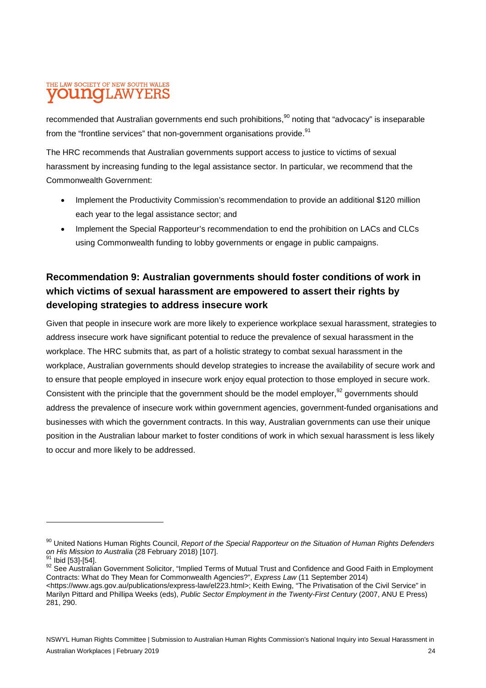# THE LAW SOCIETY OF NEW SOUTH WALES **LINOIL AW**

recommended that Australian governments end such prohibitions.<sup>90</sup> noting that "advocacy" is inseparable from the "frontline services" that non-government organisations provide.<sup>91</sup>

The HRC recommends that Australian governments support access to justice to victims of sexual harassment by increasing funding to the legal assistance sector. In particular, we recommend that the Commonwealth Government:

- Implement the Productivity Commission's recommendation to provide an additional \$120 million each year to the legal assistance sector; and
- Implement the Special Rapporteur's recommendation to end the prohibition on LACs and CLCs using Commonwealth funding to lobby governments or engage in public campaigns.

# **Recommendation 9: Australian governments should foster conditions of work in which victims of sexual harassment are empowered to assert their rights by developing strategies to address insecure work**

Given that people in insecure work are more likely to experience workplace sexual harassment, strategies to address insecure work have significant potential to reduce the prevalence of sexual harassment in the workplace. The HRC submits that, as part of a holistic strategy to combat sexual harassment in the workplace, Australian governments should develop strategies to increase the availability of secure work and to ensure that people employed in insecure work enjoy equal protection to those employed in secure work. Consistent with the principle that the government should be the model employer.<sup>92</sup> governments should address the prevalence of insecure work within government agencies, government-funded organisations and businesses with which the government contracts. In this way, Australian governments can use their unique position in the Australian labour market to foster conditions of work in which sexual harassment is less likely to occur and more likely to be addressed.

<sup>&</sup>lt;sup>90</sup> United Nations Human Rights Council, *Report of the Special Rapporteur on the Situation of Human Rights Defenders on His Mission to Australia* (28 February 2018) [107].

Ibid [53]-[54].

<sup>92</sup> See Australian Government Solicitor, "Implied Terms of Mutual Trust and Confidence and Good Faith in Employment Contracts: What do They Mean for Commonwealth Agencies?", *Express Law* (11 September 2014) <https://www.ags.gov.au/publications/express-law/el223.html>; Keith Ewing, "The Privatisation of the Civil Service" in Marilyn Pittard and Phillipa Weeks (eds), *Public Sector Employment in the Twenty-First Century* (2007, ANU E Press) 281, 290.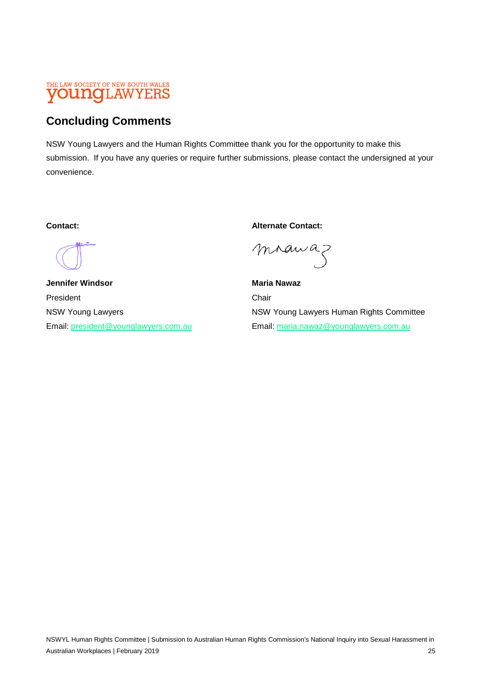#### THE LAW SOCIETY OF NEW SOUTH WALES **OUINOILAW** YERS

# **Concluding Comments**

NSW Young Lawyers and the Human Rights Committee thank you for the opportunity to make this submission. If you have any queries or require further submissions, please contact the undersigned at your convenience.

**Jennifer Windsor Maria Nawaz 2018** Maria Nawaz President Chair

**Contact: Contact: Alternate Contact:** 

mrawaz

NSW Young Lawyers **NSW Young Lawyers Human Rights Committee** Email: president@younglawyers.com.au Email: maria.nawaz@younglawyers.com.au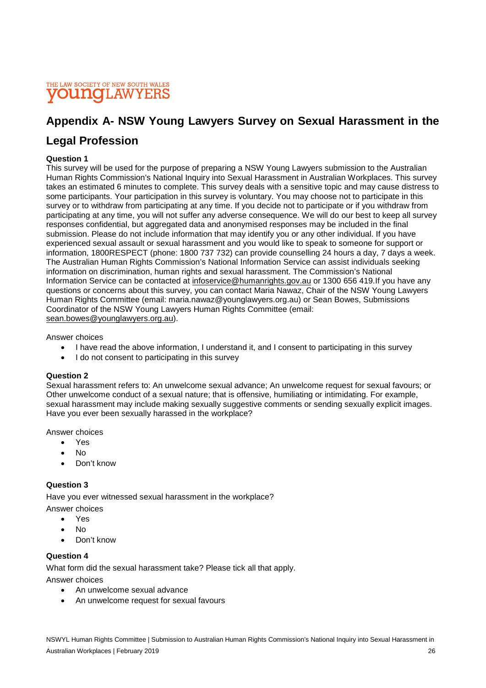### THE LAW SOCIETY OF NEW SOUTH WALES **UNOLAWYERS**

# **Appendix A- NSW Young Lawyers Survey on Sexual Harassment in the**

# **Legal Profession**

### **Question 1**

This survey will be used for the purpose of preparing a NSW Young Lawyers submission to the Australian Human Rights Commission's National Inquiry into Sexual Harassment in Australian Workplaces. This survey takes an estimated 6 minutes to complete. This survey deals with a sensitive topic and may cause distress to some participants. Your participation in this survey is voluntary. You may choose not to participate in this survey or to withdraw from participating at any time. If you decide not to participate or if you withdraw from participating at any time, you will not suffer any adverse consequence. We will do our best to keep all survey responses confidential, but aggregated data and anonymised responses may be included in the final submission. Please do not include information that may identify you or any other individual. If you have experienced sexual assault or sexual harassment and you would like to speak to someone for support or information, 1800RESPECT (phone: 1800 737 732) can provide counselling 24 hours a day, 7 days a week. The Australian Human Rights Commission's National Information Service can assist individuals seeking information on discrimination, human rights and sexual harassment. The Commission's National Information Service can be contacted at infoservice@humanrights.gov.au or 1300 656 419.If you have any questions or concerns about this survey, you can contact Maria Nawaz, Chair of the NSW Young Lawyers Human Rights Committee (email: maria.nawaz@younglawyers.org.au) or Sean Bowes, Submissions Coordinator of the NSW Young Lawyers Human Rights Committee (email: sean.bowes@younglawyers.org.au).

Answer choices

- I have read the above information, I understand it, and I consent to participating in this survey
- I do not consent to participating in this survey

#### **Question 2**

Sexual harassment refers to: An unwelcome sexual advance; An unwelcome request for sexual favours; or Other unwelcome conduct of a sexual nature; that is offensive, humiliating or intimidating. For example, sexual harassment may include making sexually suggestive comments or sending sexually explicit images. Have you ever been sexually harassed in the workplace?

Answer choices

- Yes
- No
- Don't know

### **Question 3**

Have you ever witnessed sexual harassment in the workplace?

Answer choices

- Yes
- No
- Don't know

### **Question 4**

What form did the sexual harassment take? Please tick all that apply.

Answer choices

- An unwelcome sexual advance
- An unwelcome request for sexual favours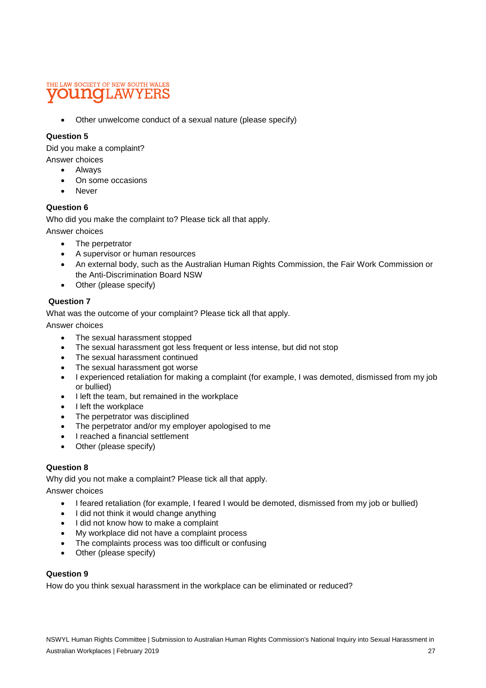# THE LAW SOCIETY OF NEW SOUTH WALES **OUINOILAW**

• Other unwelcome conduct of a sexual nature (please specify)

### **Question 5**

Did you make a complaint?

Answer choices

- Always
- On some occasions
- **Never**

### **Question 6**

Who did you make the complaint to? Please tick all that apply.

Answer choices

- The perpetrator
- A supervisor or human resources
- An external body, such as the Australian Human Rights Commission, the Fair Work Commission or the Anti-Discrimination Board NSW
- Other (please specify)

### **Question 7**

What was the outcome of your complaint? Please tick all that apply.

Answer choices

- The sexual harassment stopped
- The sexual harassment got less frequent or less intense, but did not stop
- The sexual harassment continued
- The sexual harassment got worse
- I experienced retaliation for making a complaint (for example, I was demoted, dismissed from my job or bullied)
- I left the team, but remained in the workplace
- I left the workplace
- The perpetrator was disciplined
- The perpetrator and/or my employer apologised to me
- I reached a financial settlement
- Other (please specify)

### **Question 8**

Why did you not make a complaint? Please tick all that apply.

Answer choices

- I feared retaliation (for example, I feared I would be demoted, dismissed from my job or bullied)
- I did not think it would change anything
- I did not know how to make a complaint
- My workplace did not have a complaint process
- The complaints process was too difficult or confusing
- Other (please specify)

### **Question 9**

How do you think sexual harassment in the workplace can be eliminated or reduced?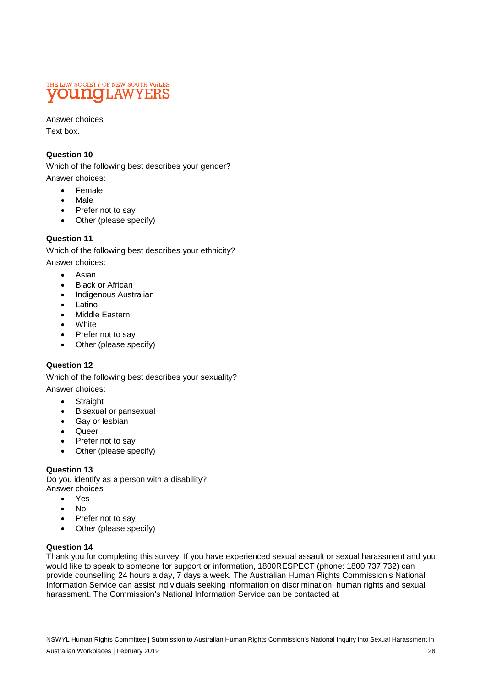

Answer choices Text box.

### **Question 10**

Which of the following best describes your gender? Answer choices:

- Female
- Male
- Prefer not to say
- Other (please specify)

### **Question 11**

Which of the following best describes your ethnicity? Answer choices:

- Asian
- **Black or African**
- Indigenous Australian
- Latino
- Middle Eastern
- White
- Prefer not to say
- Other (please specify)

### **Question 12**

Which of the following best describes your sexuality? Answer choices:

- Straight
- Bisexual or pansexual
- Gay or lesbian
- Queer
- Prefer not to say
- Other (please specify)

### **Question 13**

Do you identify as a person with a disability? Answer choices

- Yes
- No
- Prefer not to say
- Other (please specify)

### **Question 14**

Thank you for completing this survey. If you have experienced sexual assault or sexual harassment and you would like to speak to someone for support or information, 1800RESPECT (phone: 1800 737 732) can provide counselling 24 hours a day, 7 days a week. The Australian Human Rights Commission's National Information Service can assist individuals seeking information on discrimination, human rights and sexual harassment. The Commission's National Information Service can be contacted at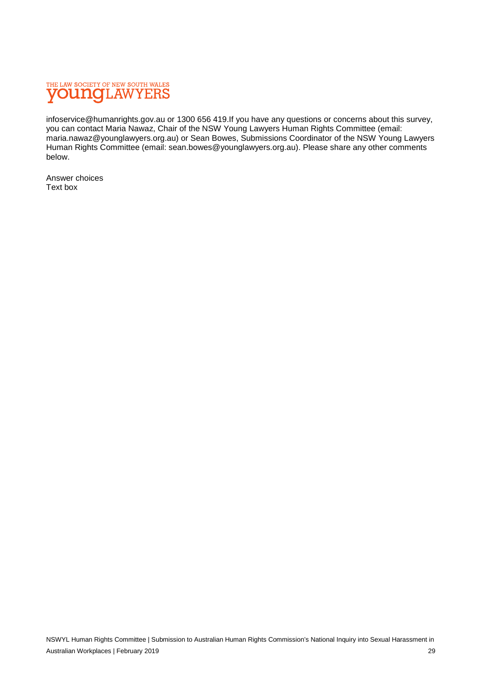

infoservice@humanrights.gov.au or 1300 656 419.If you have any questions or concerns about this survey, you can contact Maria Nawaz, Chair of the NSW Young Lawyers Human Rights Committee (email: maria.nawaz@younglawyers.org.au) or Sean Bowes, Submissions Coordinator of the NSW Young Lawyers Human Rights Committee (email: sean.bowes@younglawyers.org.au). Please share any other comments below.

Answer choices Text box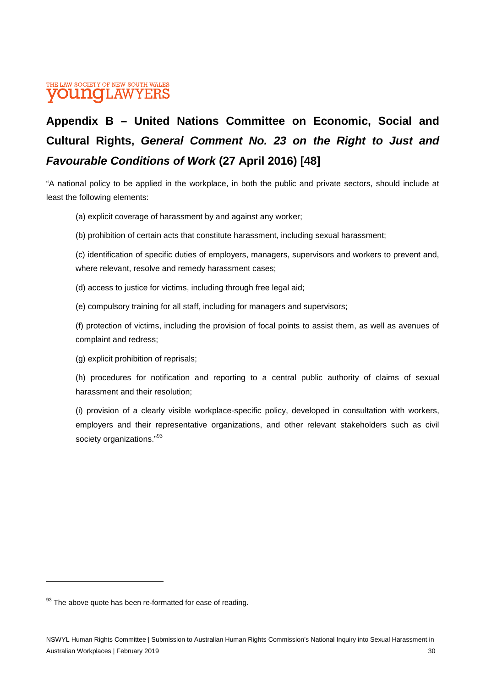### THE LAW SOCIETY OF NEW SOUTH WALES **OUNOLAWYERS**

# **Appendix B – United Nations Committee on Economic, Social and Cultural Rights,** *General Comment No. 23 on the Right to Just and Favourable Conditions of Work* **(27 April 2016) [48]**

"A national policy to be applied in the workplace, in both the public and private sectors, should include at least the following elements:

- (a) explicit coverage of harassment by and against any worker;
- (b) prohibition of certain acts that constitute harassment, including sexual harassment;

(c) identification of specific duties of employers, managers, supervisors and workers to prevent and, where relevant, resolve and remedy harassment cases;

- (d) access to justice for victims, including through free legal aid;
- (e) compulsory training for all staff, including for managers and supervisors;

(f) protection of victims, including the provision of focal points to assist them, as well as avenues of complaint and redress;

(g) explicit prohibition of reprisals;

(h) procedures for notification and reporting to a central public authority of claims of sexual harassment and their resolution;

(i) provision of a clearly visible workplace-specific policy, developed in consultation with workers, employers and their representative organizations, and other relevant stakeholders such as civil society organizations."<sup>93</sup>

<sup>93</sup> The above quote has been re-formatted for ease of reading.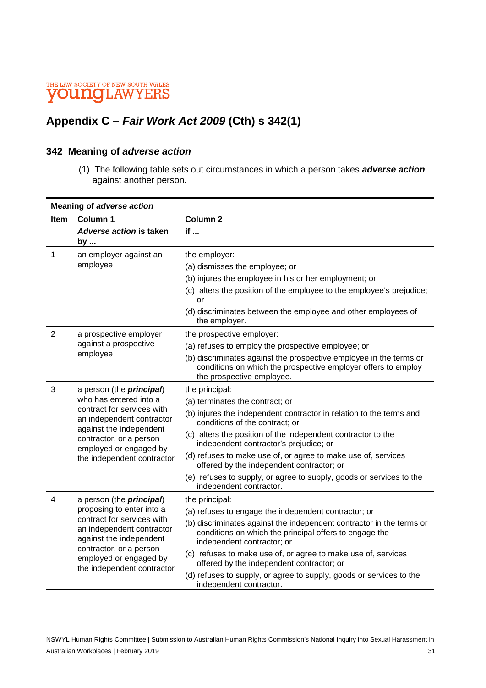# **Appendix C –** *Fair Work Act 2009* **(Cth) s 342(1)**

### **342 Meaning of** *adverse action*

 (1) The following table sets out circumstances in which a person takes *adverse action*  against another person.

| <b>Meaning of adverse action</b> |                                                                                                                                                                                                                                        |                                                                                                                                                                  |  |
|----------------------------------|----------------------------------------------------------------------------------------------------------------------------------------------------------------------------------------------------------------------------------------|------------------------------------------------------------------------------------------------------------------------------------------------------------------|--|
| <b>Item</b>                      | Column 1                                                                                                                                                                                                                               | Column <sub>2</sub>                                                                                                                                              |  |
|                                  | Adverse action is taken<br>by                                                                                                                                                                                                          | if                                                                                                                                                               |  |
| $\mathbf{1}$                     | an employer against an<br>employee                                                                                                                                                                                                     | the employer:                                                                                                                                                    |  |
|                                  |                                                                                                                                                                                                                                        | (a) dismisses the employee; or                                                                                                                                   |  |
|                                  |                                                                                                                                                                                                                                        | (b) injures the employee in his or her employment; or                                                                                                            |  |
|                                  |                                                                                                                                                                                                                                        | (c) alters the position of the employee to the employee's prejudice;<br>or                                                                                       |  |
|                                  |                                                                                                                                                                                                                                        | (d) discriminates between the employee and other employees of<br>the employer.                                                                                   |  |
| $\overline{2}$                   | a prospective employer<br>against a prospective<br>employee                                                                                                                                                                            | the prospective employer:                                                                                                                                        |  |
|                                  |                                                                                                                                                                                                                                        | (a) refuses to employ the prospective employee; or                                                                                                               |  |
|                                  |                                                                                                                                                                                                                                        | (b) discriminates against the prospective employee in the terms or<br>conditions on which the prospective employer offers to employ<br>the prospective employee. |  |
| 3                                | a person (the <i>principal</i> )<br>who has entered into a<br>contract for services with<br>an independent contractor<br>against the independent<br>contractor, or a person<br>employed or engaged by<br>the independent contractor    | the principal:                                                                                                                                                   |  |
|                                  |                                                                                                                                                                                                                                        | (a) terminates the contract; or                                                                                                                                  |  |
|                                  |                                                                                                                                                                                                                                        | (b) injures the independent contractor in relation to the terms and<br>conditions of the contract; or                                                            |  |
|                                  |                                                                                                                                                                                                                                        | (c) alters the position of the independent contractor to the<br>independent contractor's prejudice; or                                                           |  |
|                                  |                                                                                                                                                                                                                                        | (d) refuses to make use of, or agree to make use of, services<br>offered by the independent contractor; or                                                       |  |
|                                  |                                                                                                                                                                                                                                        | (e) refuses to supply, or agree to supply, goods or services to the<br>independent contractor.                                                                   |  |
| 4                                | a person (the <i>principal</i> )<br>proposing to enter into a<br>contract for services with<br>an independent contractor<br>against the independent<br>contractor, or a person<br>employed or engaged by<br>the independent contractor | the principal:                                                                                                                                                   |  |
|                                  |                                                                                                                                                                                                                                        | (a) refuses to engage the independent contractor; or                                                                                                             |  |
|                                  |                                                                                                                                                                                                                                        | (b) discriminates against the independent contractor in the terms or<br>conditions on which the principal offers to engage the<br>independent contractor; or     |  |
|                                  |                                                                                                                                                                                                                                        | (c) refuses to make use of, or agree to make use of, services<br>offered by the independent contractor; or                                                       |  |
|                                  |                                                                                                                                                                                                                                        | (d) refuses to supply, or agree to supply, goods or services to the<br>independent contractor.                                                                   |  |